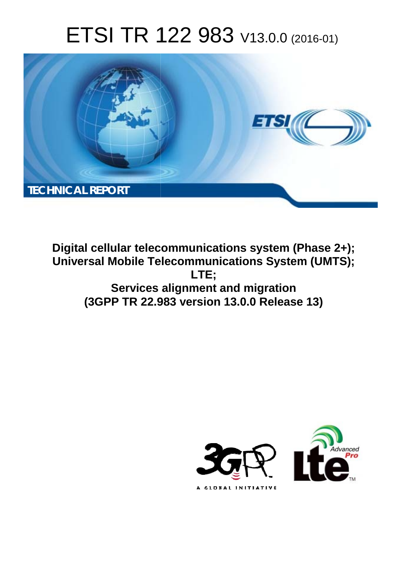# ETSI TR 122 983 V13.0.0 (2016-01)



**Digital cellular telecommunications system (Phase 2+); Universal Mobile Tel elecommunications System ( (UMTS); Services alignment and migration (3GPP TR 22.9 .983 version 13.0.0 Release 13 13) LTE;** 

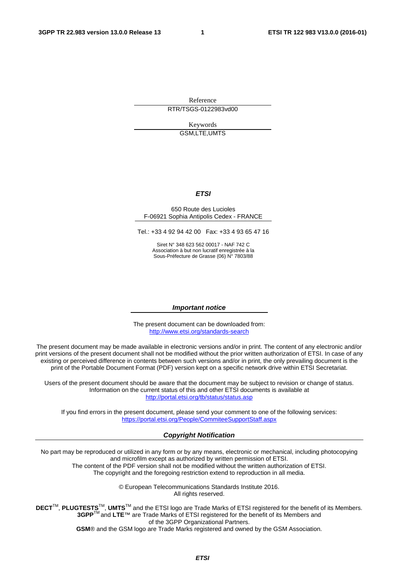Reference RTR/TSGS-0122983vd00

> Keywords GSM,LTE,UMTS

#### *ETSI*

#### 650 Route des Lucioles F-06921 Sophia Antipolis Cedex - FRANCE

Tel.: +33 4 92 94 42 00 Fax: +33 4 93 65 47 16

Siret N° 348 623 562 00017 - NAF 742 C Association à but non lucratif enregistrée à la Sous-Préfecture de Grasse (06) N° 7803/88

#### *Important notice*

The present document can be downloaded from: <http://www.etsi.org/standards-search>

The present document may be made available in electronic versions and/or in print. The content of any electronic and/or print versions of the present document shall not be modified without the prior written authorization of ETSI. In case of any existing or perceived difference in contents between such versions and/or in print, the only prevailing document is the print of the Portable Document Format (PDF) version kept on a specific network drive within ETSI Secretariat.

Users of the present document should be aware that the document may be subject to revision or change of status. Information on the current status of this and other ETSI documents is available at <http://portal.etsi.org/tb/status/status.asp>

If you find errors in the present document, please send your comment to one of the following services: <https://portal.etsi.org/People/CommiteeSupportStaff.aspx>

#### *Copyright Notification*

No part may be reproduced or utilized in any form or by any means, electronic or mechanical, including photocopying and microfilm except as authorized by written permission of ETSI.

The content of the PDF version shall not be modified without the written authorization of ETSI. The copyright and the foregoing restriction extend to reproduction in all media.

> © European Telecommunications Standards Institute 2016. All rights reserved.

**DECT**TM, **PLUGTESTS**TM, **UMTS**TM and the ETSI logo are Trade Marks of ETSI registered for the benefit of its Members. **3GPP**TM and **LTE**™ are Trade Marks of ETSI registered for the benefit of its Members and of the 3GPP Organizational Partners.

**GSM**® and the GSM logo are Trade Marks registered and owned by the GSM Association.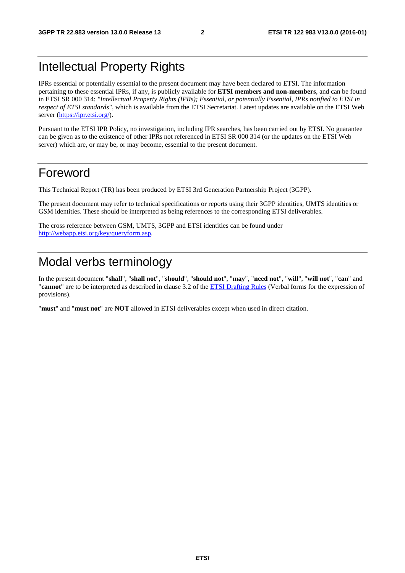### Intellectual Property Rights

IPRs essential or potentially essential to the present document may have been declared to ETSI. The information pertaining to these essential IPRs, if any, is publicly available for **ETSI members and non-members**, and can be found in ETSI SR 000 314: *"Intellectual Property Rights (IPRs); Essential, or potentially Essential, IPRs notified to ETSI in respect of ETSI standards"*, which is available from the ETSI Secretariat. Latest updates are available on the ETSI Web server [\(https://ipr.etsi.org/\)](https://ipr.etsi.org/).

Pursuant to the ETSI IPR Policy, no investigation, including IPR searches, has been carried out by ETSI. No guarantee can be given as to the existence of other IPRs not referenced in ETSI SR 000 314 (or the updates on the ETSI Web server) which are, or may be, or may become, essential to the present document.

### Foreword

This Technical Report (TR) has been produced by ETSI 3rd Generation Partnership Project (3GPP).

The present document may refer to technical specifications or reports using their 3GPP identities, UMTS identities or GSM identities. These should be interpreted as being references to the corresponding ETSI deliverables.

The cross reference between GSM, UMTS, 3GPP and ETSI identities can be found under [http://webapp.etsi.org/key/queryform.asp.](http://webapp.etsi.org/key/queryform.asp)

### Modal verbs terminology

In the present document "**shall**", "**shall not**", "**should**", "**should not**", "**may**", "**need not**", "**will**", "**will not**", "**can**" and "**cannot**" are to be interpreted as described in clause 3.2 of the [ETSI Drafting Rules](http://portal.etsi.org/Help/editHelp!/Howtostart/ETSIDraftingRules.aspx) (Verbal forms for the expression of provisions).

"**must**" and "**must not**" are **NOT** allowed in ETSI deliverables except when used in direct citation.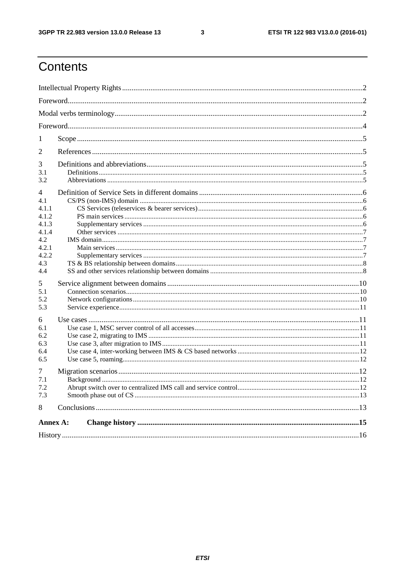$\mathbf{3}$ 

# Contents

| 1                                            |  |  |  |  |  |  |
|----------------------------------------------|--|--|--|--|--|--|
| 2                                            |  |  |  |  |  |  |
| 3<br>3.1<br>3.2                              |  |  |  |  |  |  |
| $\overline{4}$                               |  |  |  |  |  |  |
| 4.1<br>4.1.1<br>4.1.2<br>4.1.3               |  |  |  |  |  |  |
| 4.1.4<br>4.2<br>4.2.1<br>4.2.2<br>4.3<br>4.4 |  |  |  |  |  |  |
| 5<br>5.1<br>5.2<br>5.3                       |  |  |  |  |  |  |
| 6<br>6.1<br>6.2<br>6.3<br>6.4<br>6.5         |  |  |  |  |  |  |
| 7<br>7.1<br>7.2<br>7.3                       |  |  |  |  |  |  |
| 8                                            |  |  |  |  |  |  |
| Annex A:                                     |  |  |  |  |  |  |
|                                              |  |  |  |  |  |  |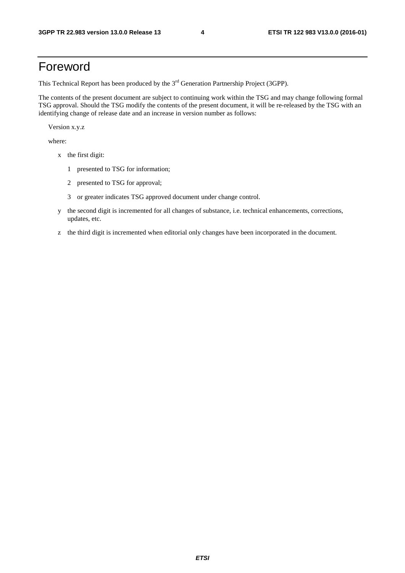### Foreword

This Technical Report has been produced by the  $3<sup>rd</sup>$  Generation Partnership Project (3GPP).

The contents of the present document are subject to continuing work within the TSG and may change following formal TSG approval. Should the TSG modify the contents of the present document, it will be re-released by the TSG with an identifying change of release date and an increase in version number as follows:

Version x.y.z

where:

- x the first digit:
	- 1 presented to TSG for information;
	- 2 presented to TSG for approval;
	- 3 or greater indicates TSG approved document under change control.
- y the second digit is incremented for all changes of substance, i.e. technical enhancements, corrections, updates, etc.
- z the third digit is incremented when editorial only changes have been incorporated in the document.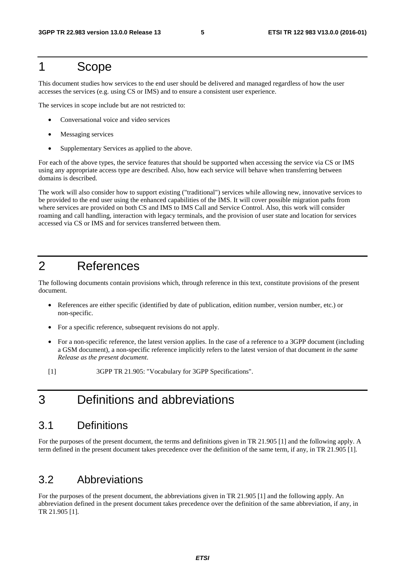### 1 Scope

This document studies how services to the end user should be delivered and managed regardless of how the user accesses the services (e.g. using CS or IMS) and to ensure a consistent user experience.

The services in scope include but are not restricted to:

- Conversational voice and video services
- Messaging services
- Supplementary Services as applied to the above.

For each of the above types, the service features that should be supported when accessing the service via CS or IMS using any appropriate access type are described. Also, how each service will behave when transferring between domains is described.

The work will also consider how to support existing ("traditional") services while allowing new, innovative services to be provided to the end user using the enhanced capabilities of the IMS. It will cover possible migration paths from where services are provided on both CS and IMS to IMS Call and Service Control. Also, this work will consider roaming and call handling, interaction with legacy terminals, and the provision of user state and location for services accessed via CS or IMS and for services transferred between them.

### 2 References

The following documents contain provisions which, through reference in this text, constitute provisions of the present document.

- References are either specific (identified by date of publication, edition number, version number, etc.) or non-specific.
- For a specific reference, subsequent revisions do not apply.
- For a non-specific reference, the latest version applies. In the case of a reference to a 3GPP document (including a GSM document), a non-specific reference implicitly refers to the latest version of that document *in the same Release as the present document*.
- [1] 3GPP TR 21.905: "Vocabulary for 3GPP Specifications".

### 3 Definitions and abbreviations

#### 3.1 Definitions

For the purposes of the present document, the terms and definitions given in TR 21.905 [1] and the following apply. A term defined in the present document takes precedence over the definition of the same term, if any, in TR 21.905 [1].

### 3.2 Abbreviations

For the purposes of the present document, the abbreviations given in TR 21.905 [1] and the following apply. An abbreviation defined in the present document takes precedence over the definition of the same abbreviation, if any, in TR 21.905 [1].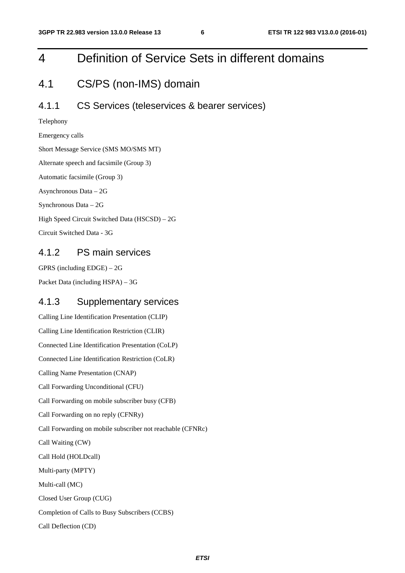# 4 Definition of Service Sets in different domains

### 4.1 CS/PS (non-IMS) domain

#### 4.1.1 CS Services (teleservices & bearer services)

Telephony

Emergency calls

Short Message Service (SMS MO/SMS MT)

Alternate speech and facsimile (Group 3)

Automatic facsimile (Group 3)

Asynchronous Data – 2G

Synchronous Data – 2G

High Speed Circuit Switched Data (HSCSD) – 2G

Circuit Switched Data - 3G

#### 4.1.2 PS main services

GPRS (including EDGE) – 2G

Packet Data (including HSPA) – 3G

#### 4.1.3 Supplementary services

Calling Line Identification Presentation (CLIP) Calling Line Identification Restriction (CLIR) Connected Line Identification Presentation (CoLP) Connected Line Identification Restriction (CoLR) Calling Name Presentation (CNAP) Call Forwarding Unconditional (CFU) Call Forwarding on mobile subscriber busy (CFB) Call Forwarding on no reply (CFNRy) Call Forwarding on mobile subscriber not reachable (CFNRc) Call Waiting (CW) Call Hold (HOLDcall) Multi-party (MPTY) Multi-call (MC) Closed User Group (CUG) Completion of Calls to Busy Subscribers (CCBS) Call Deflection (CD)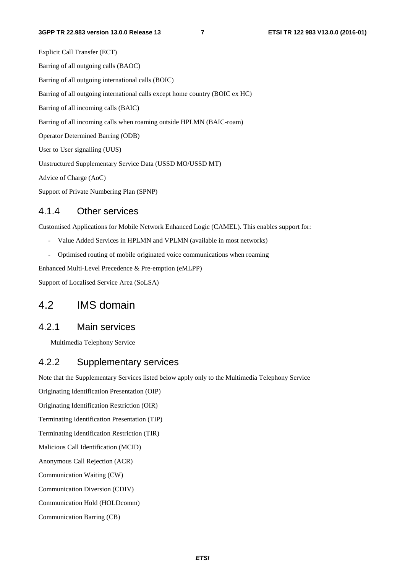Explicit Call Transfer (ECT) Barring of all outgoing calls (BAOC) Barring of all outgoing international calls (BOIC) Barring of all outgoing international calls except home country (BOIC ex HC) Barring of all incoming calls (BAIC) Barring of all incoming calls when roaming outside HPLMN (BAIC-roam) Operator Determined Barring (ODB) User to User signalling (UUS) Unstructured Supplementary Service Data (USSD MO/USSD MT) Advice of Charge (AoC) Support of Private Numbering Plan (SPNP)

#### 4.1.4 Other services

Customised Applications for Mobile Network Enhanced Logic (CAMEL). This enables support for:

- Value Added Services in HPLMN and VPLMN (available in most networks)
- Optimised routing of mobile originated voice communications when roaming

Enhanced Multi-Level Precedence & Pre-emption (eMLPP)

Support of Localised Service Area (SoLSA)

#### 4.2 IMS domain

#### 4.2.1 Main services

Multimedia Telephony Service

#### 4.2.2 Supplementary services

Note that the Supplementary Services listed below apply only to the Multimedia Telephony Service

Originating Identification Presentation (OIP)

Originating Identification Restriction (OIR)

Terminating Identification Presentation (TIP)

Terminating Identification Restriction (TIR)

Malicious Call Identification (MCID)

Anonymous Call Rejection (ACR)

Communication Waiting (CW)

Communication Diversion (CDIV)

Communication Hold (HOLDcomm)

Communication Barring (CB)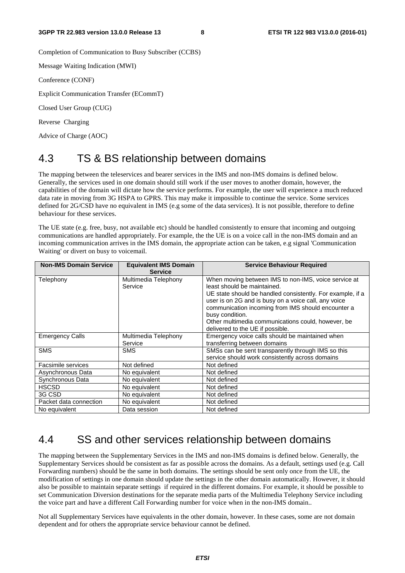Completion of Communication to Busy Subscriber (CCBS)

Message Waiting Indication (MWI)

Conference (CONF)

Explicit Communication Transfer (ECommT)

Closed User Group (CUG)

Reverse Charging

Advice of Charge (AOC)

### 4.3 TS & BS relationship between domains

The mapping between the teleservices and bearer services in the IMS and non-IMS domains is defined below. Generally, the services used in one domain should still work if the user moves to another domain, however, the capabilities of the domain will dictate how the service performs. For example, the user will experience a much reduced data rate in moving from 3G HSPA to GPRS. This may make it impossible to continue the service. Some services defined for 2G/CSD have no equivalent in IMS (e.g some of the data services). It is not possible, therefore to define behaviour for these services.

The UE state (e.g. free, busy, not available etc) should be handled consistently to ensure that incoming and outgoing communications are handled appropriately. For example, the the UE is on a voice call in the non-IMS domain and an incoming communication arrives in the IMS domain, the appropriate action can be taken, e.g signal 'Communication Waiting' or divert on busy to voicemail.

| <b>Non-IMS Domain Service</b> | <b>Equivalent IMS Domain</b><br><b>Service</b> | <b>Service Behaviour Required</b>                          |
|-------------------------------|------------------------------------------------|------------------------------------------------------------|
| Telephony                     | Multimedia Telephony                           | When moving between IMS to non-IMS, voice service at       |
|                               | Service                                        | least should be maintained.                                |
|                               |                                                | UE state should be handled consistently. For example, if a |
|                               |                                                | user is on 2G and is busy on a voice call, any voice       |
|                               |                                                | communication incoming from IMS should encounter a         |
|                               |                                                | busy condition.                                            |
|                               |                                                | Other multimedia communications could, however, be         |
|                               |                                                | delivered to the UE if possible.                           |
| <b>Emergency Calls</b>        | Multimedia Telephony                           | Emergency voice calls should be maintained when            |
|                               | Service                                        | transferring between domains                               |
| <b>SMS</b>                    | SMS                                            | SMSs can be sent transparently through IMS so this         |
|                               |                                                | service should work consistently across domains            |
| Facsimile services            | Not defined                                    | Not defined                                                |
| Asynchronous Data             | No equivalent                                  | Not defined                                                |
| Synchronous Data              | No equivalent                                  | Not defined                                                |
| <b>HSCSD</b>                  | No equivalent                                  | Not defined                                                |
| 3G CSD                        | No equivalent                                  | Not defined                                                |
| Packet data connection        | No equivalent                                  | Not defined                                                |
| No equivalent                 | Data session                                   | Not defined                                                |

### 4.4 SS and other services relationship between domains

The mapping between the Supplementary Services in the IMS and non-IMS domains is defined below. Generally, the Supplementary Services should be consistent as far as possible across the domains. As a default, settings used (e.g. Call Forwarding numbers) should be the same in both domains. The settings should be sent only once from the UE, the modification of settings in one domain should update the settings in the other domain automatically. However, it should also be possible to maintain separate settings if required in the different domains. For example, it should be possible to set Communication Diversion destinations for the separate media parts of the Multimedia Telephony Service including the voice part and have a different Call Forwarding number for voice when in the non-IMS domain..

Not all Supplementary Services have equivalents in the other domain, however. In these cases, some are not domain dependent and for others the appropriate service behaviour cannot be defined.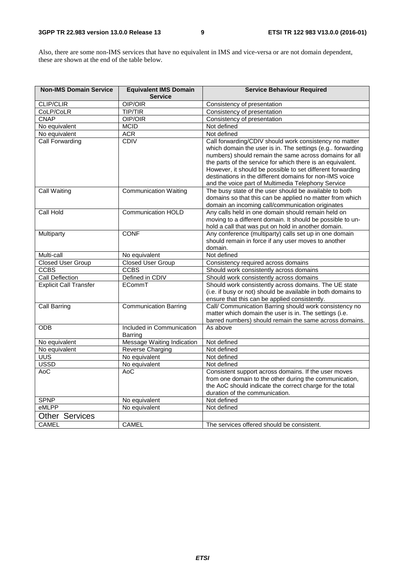Also, there are some non-IMS services that have no equivalent in IMS and vice-versa or are not domain dependent, these are shown at the end of the table below.

| <b>Non-IMS Domain Service</b> | <b>Equivalent IMS Domain</b> | <b>Service Behaviour Required</b>                                                                      |
|-------------------------------|------------------------------|--------------------------------------------------------------------------------------------------------|
|                               | <b>Service</b>               |                                                                                                        |
| <b>CLIP/CLIR</b>              | OIP/OIR                      | Consistency of presentation                                                                            |
| CoLP/CoLR                     | <b>TIP/TIR</b>               | Consistency of presentation                                                                            |
| <b>CNAP</b>                   | OIP/OIR                      | Consistency of presentation                                                                            |
| No equivalent                 | <b>MCID</b>                  | Not defined                                                                                            |
| No equivalent                 | <b>ACR</b>                   | Not defined                                                                                            |
| <b>Call Forwarding</b>        | CDIV                         | Call forwarding/CDIV should work consistency no matter                                                 |
|                               |                              | which domain the user is in. The settings (e.g., forwarding                                            |
|                               |                              | numbers) should remain the same across domains for all                                                 |
|                               |                              | the parts of the service for which there is an equivalent.                                             |
|                               |                              | However, it should be possible to set different forwarding                                             |
|                               |                              | destinations in the different domains for non-IMS voice                                                |
|                               |                              | and the voice part of Multimedia Telephony Service                                                     |
| Call Waiting                  | <b>Communication Waiting</b> | The busy state of the user should be available to both                                                 |
|                               |                              | domains so that this can be applied no matter from which                                               |
|                               | <b>Communication HOLD</b>    | domain an incoming call/communication originates<br>Any calls held in one domain should remain held on |
| Call Hold                     |                              | moving to a different domain. It should be possible to un-                                             |
|                               |                              | hold a call that was put on hold in another domain.                                                    |
| Multiparty                    | <b>CONF</b>                  | Any conference (multiparty) calls set up in one domain                                                 |
|                               |                              | should remain in force if any user moves to another                                                    |
|                               |                              | domain.                                                                                                |
| Multi-call                    | No equivalent                | Not defined                                                                                            |
| <b>Closed User Group</b>      | <b>Closed User Group</b>     | Consistency required across domains                                                                    |
| <b>CCBS</b>                   | <b>CCBS</b>                  | Should work consistently across domains                                                                |
| Call Deflection               | Defined in CDIV              | Should work consistently across domains                                                                |
| <b>Explicit Call Transfer</b> | ECommT                       | Should work consistently across domains. The UE state                                                  |
|                               |                              | (i.e. if busy or not) should be available in both domains to                                           |
|                               |                              | ensure that this can be applied consistently.                                                          |
| <b>Call Barring</b>           | <b>Communication Barring</b> | Call/ Communication Barring should work consistency no                                                 |
|                               |                              | matter which domain the user is in. The settings (i.e.                                                 |
|                               |                              | barred numbers) should remain the same across domains.                                                 |
| <b>ODB</b>                    | Included in Communication    | As above                                                                                               |
|                               | <b>Barring</b>               |                                                                                                        |
| No equivalent                 | Message Waiting Indication   | Not defined                                                                                            |
| No equivalent                 | <b>Reverse Charging</b>      | Not defined                                                                                            |
| <b>UUS</b>                    | No equivalent                | Not defined                                                                                            |
| <b>USSD</b>                   | No equivalent                | Not defined                                                                                            |
| AoC                           | AoC                          | Consistent support across domains. If the user moves                                                   |
|                               |                              | from one domain to the other during the communication,                                                 |
|                               |                              | the AoC should indicate the correct charge for the total                                               |
|                               |                              | duration of the communication.                                                                         |
| <b>SPNP</b>                   | No equivalent                | Not defined                                                                                            |
| eMLPP                         | No equivalent                | Not defined                                                                                            |
| <b>Other Services</b>         |                              |                                                                                                        |
| <b>CAMEL</b>                  | <b>CAMEL</b>                 | The services offered should be consistent.                                                             |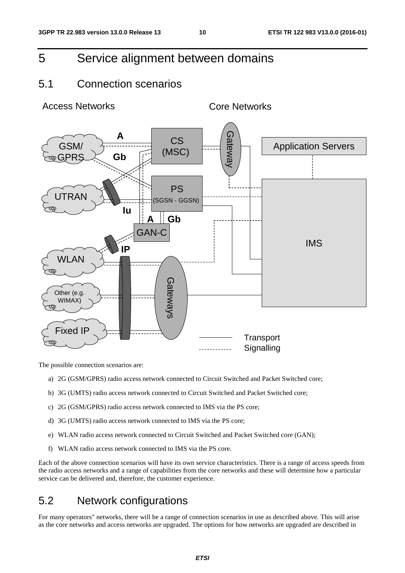### 5 Service alignment between domains

### 5.1 Connection scenarios

Access Networks **Core Networks** 



The possible connection scenarios are:

- a) 2G (GSM/GPRS) radio access network connected to Circuit Switched and Packet Switched core;
- b) 3G (UMTS) radio access network connected to Circuit Switched and Packet Switched core;
- c) 2G (GSM/GPRS) radio access network connected to IMS via the PS core;
- d) 3G (UMTS) radio access network connected to IMS via the PS core;
- e) WLAN radio access network connected to Circuit Switched and Packet Switched core (GAN);
- f) WLAN radio access network connected to IMS via the PS core.

Each of the above connection scenarios will have its own service characteristics. There is a range of access speeds from the radio access networks and a range of capabilities from the core networks and these will determine how a particular service can be delivered and, therefore, the customer experience.

### 5.2 Network configurations

For many operators" networks, there will be a range of connection scenarios in use as described above. This will arise as the core networks and access networks are upgraded. The options for how networks are upgraded are described in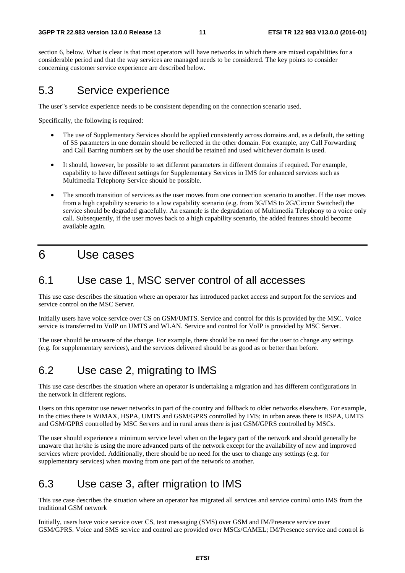section 6, below. What is clear is that most operators will have networks in which there are mixed capabilities for a considerable period and that the way services are managed needs to be considered. The key points to consider concerning customer service experience are described below.

### 5.3 Service experience

The user"s service experience needs to be consistent depending on the connection scenario used.

Specifically, the following is required:

- The use of Supplementary Services should be applied consistently across domains and, as a default, the setting of SS parameters in one domain should be reflected in the other domain. For example, any Call Forwarding and Call Barring numbers set by the user should be retained and used whichever domain is used.
- It should, however, be possible to set different parameters in different domains if required. For example, capability to have different settings for Supplementary Services in IMS for enhanced services such as Multimedia Telephony Service should be possible.
- The smooth transition of services as the user moves from one connection scenario to another. If the user moves from a high capability scenario to a low capability scenario (e.g. from 3G/IMS to 2G/Circuit Switched) the service should be degraded gracefully. An example is the degradation of Multimedia Telephony to a voice only call. Subsequently, if the user moves back to a high capability scenario, the added features should become available again.

### 6 Use cases

### 6.1 Use case 1, MSC server control of all accesses

This use case describes the situation where an operator has introduced packet access and support for the services and service control on the MSC Server.

Initially users have voice service over CS on GSM/UMTS. Service and control for this is provided by the MSC. Voice service is transferred to VoIP on UMTS and WLAN. Service and control for VoIP is provided by MSC Server.

The user should be unaware of the change. For example, there should be no need for the user to change any settings (e.g. for supplementary services), and the services delivered should be as good as or better than before.

### 6.2 Use case 2, migrating to IMS

This use case describes the situation where an operator is undertaking a migration and has different configurations in the network in different regions.

Users on this operator use newer networks in part of the country and fallback to older networks elsewhere. For example, in the cities there is WiMAX, HSPA, UMTS and GSM/GPRS controlled by IMS; in urban areas there is HSPA, UMTS and GSM/GPRS controlled by MSC Servers and in rural areas there is just GSM/GPRS controlled by MSCs.

The user should experience a minimum service level when on the legacy part of the network and should generally be unaware that he/she is using the more advanced parts of the network except for the availability of new and improved services where provided. Additionally, there should be no need for the user to change any settings (e.g. for supplementary services) when moving from one part of the network to another.

### 6.3 Use case 3, after migration to IMS

This use case describes the situation where an operator has migrated all services and service control onto IMS from the traditional GSM network

Initially, users have voice service over CS, text messaging (SMS) over GSM and IM/Presence service over GSM/GPRS. Voice and SMS service and control are provided over MSCs/CAMEL; IM/Presence service and control is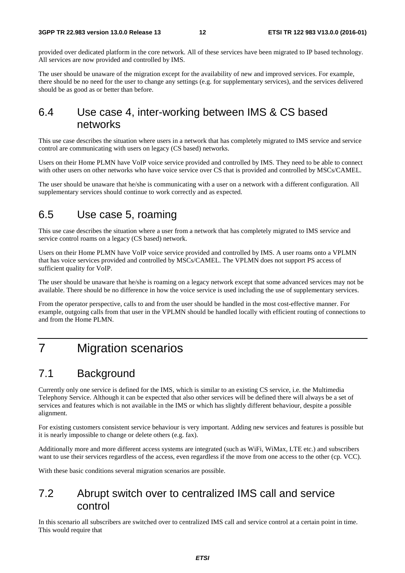provided over dedicated platform in the core network. All of these services have been migrated to IP based technology. All services are now provided and controlled by IMS.

The user should be unaware of the migration except for the availability of new and improved services. For example, there should be no need for the user to change any settings (e.g. for supplementary services), and the services delivered should be as good as or better than before.

### 6.4 Use case 4, inter-working between IMS & CS based networks

This use case describes the situation where users in a network that has completely migrated to IMS service and service control are communicating with users on legacy (CS based) networks.

Users on their Home PLMN have VoIP voice service provided and controlled by IMS. They need to be able to connect with other users on other networks who have voice service over CS that is provided and controlled by MSCs/CAMEL.

The user should be unaware that he/she is communicating with a user on a network with a different configuration. All supplementary services should continue to work correctly and as expected.

### 6.5 Use case 5, roaming

This use case describes the situation where a user from a network that has completely migrated to IMS service and service control roams on a legacy (CS based) network.

Users on their Home PLMN have VoIP voice service provided and controlled by IMS. A user roams onto a VPLMN that has voice services provided and controlled by MSCs/CAMEL. The VPLMN does not support PS access of sufficient quality for VoIP.

The user should be unaware that he/she is roaming on a legacy network except that some advanced services may not be available. There should be no difference in how the voice service is used including the use of supplementary services.

From the operator perspective, calls to and from the user should be handled in the most cost-effective manner. For example, outgoing calls from that user in the VPLMN should be handled locally with efficient routing of connections to and from the Home PLMN.

## 7 Migration scenarios

### 7.1 Background

Currently only one service is defined for the IMS, which is similar to an existing CS service, i.e. the Multimedia Telephony Service. Although it can be expected that also other services will be defined there will always be a set of services and features which is not available in the IMS or which has slightly different behaviour, despite a possible alignment.

For existing customers consistent service behaviour is very important. Adding new services and features is possible but it is nearly impossible to change or delete others (e.g. fax).

Additionally more and more different access systems are integrated (such as WiFi, WiMax, LTE etc.) and subscribers want to use their services regardless of the access, even regardless if the move from one access to the other (cp. VCC).

With these basic conditions several migration scenarios are possible.

### 7.2 Abrupt switch over to centralized IMS call and service control

In this scenario all subscribers are switched over to centralized IMS call and service control at a certain point in time. This would require that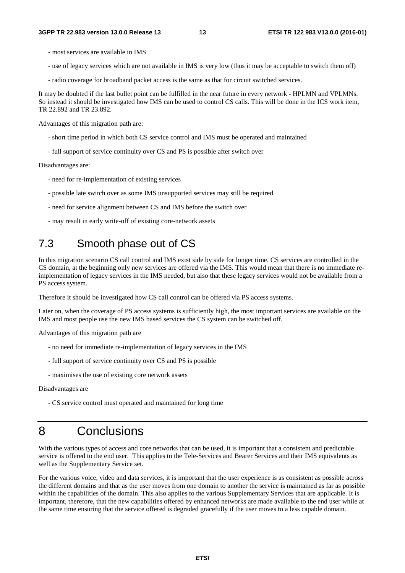- most services are available in IMS
- use of legacy services which are not available in IMS is very low (thus it may be acceptable to switch them off)
- radio coverage for broadband packet access is the same as that for circuit switched services.

It may be doubted if the last bullet point can be fulfilled in the near future in every network - HPLMN and VPLMNs. So instead it should be investigated how IMS can be used to control CS calls. This will be done in the ICS work item, TR 22.892 and TR 23.892.

Advantages of this migration path are:

- short time period in which both CS service control and IMS must be operated and maintained
- full support of service continuity over CS and PS is possible after switch over

Disadvantages are:

- need for re-implementation of existing services
- possible late switch over as some IMS unsupported services may still be required
- need for service alignment between CS and IMS before the switch over
- may result in early write-off of existing core-network assets

### 7.3 Smooth phase out of CS

In this migration scenario CS call control and IMS exist side by side for longer time. CS services are controlled in the CS domain, at the beginning only new services are offered via the IMS. This would mean that there is no immediate reimplementation of legacy services in the IMS needed, but also that these legacy services would not be available from a PS access system.

Therefore it should be investigated how CS call control can be offered via PS access systems.

Later on, when the coverage of PS access systems is sufficiently high, the most important services are available on the IMS and most people use the new IMS based services the CS system can be switched off.

Advantages of this migration path are

- no need for immediate re-implementation of legacy services in the IMS
- full support of service continuity over CS and PS is possible
- maximises the use of existing core network assets

Disadvantages are

- CS service control must operated and maintained for long time

### 8 Conclusions

With the various types of access and core networks that can be used, it is important that a consistent and predictable service is offered to the end user. This applies to the Tele-Services and Bearer Services and their IMS equivalents as well as the Supplementary Service set.

For the various voice, video and data services, it is important that the user experience is as consistent as possible across the different domains and that as the user moves from one domain to another the service is maintained as far as possible within the capabilities of the domain. This also applies to the various Supplementary Services that are applicable. It is important, therefore, that the new capabilities offered by enhanced networks are made available to the end user while at the same time ensuring that the service offered is degraded gracefully if the user moves to a less capable domain.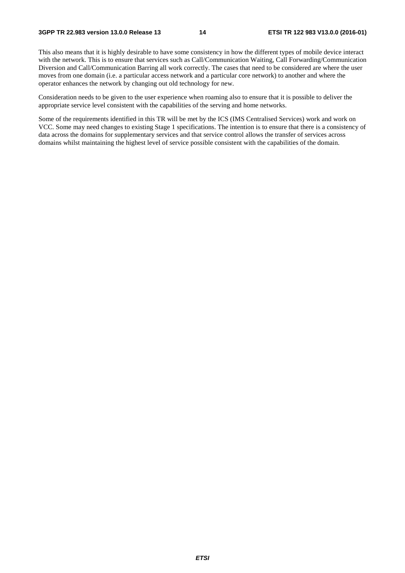This also means that it is highly desirable to have some consistency in how the different types of mobile device interact with the network. This is to ensure that services such as Call/Communication Waiting, Call Forwarding/Communication Diversion and Call/Communication Barring all work correctly. The cases that need to be considered are where the user moves from one domain (i.e. a particular access network and a particular core network) to another and where the operator enhances the network by changing out old technology for new.

Consideration needs to be given to the user experience when roaming also to ensure that it is possible to deliver the appropriate service level consistent with the capabilities of the serving and home networks.

Some of the requirements identified in this TR will be met by the ICS (IMS Centralised Services) work and work on VCC. Some may need changes to existing Stage 1 specifications. The intention is to ensure that there is a consistency of data across the domains for supplementary services and that service control allows the transfer of services across domains whilst maintaining the highest level of service possible consistent with the capabilities of the domain.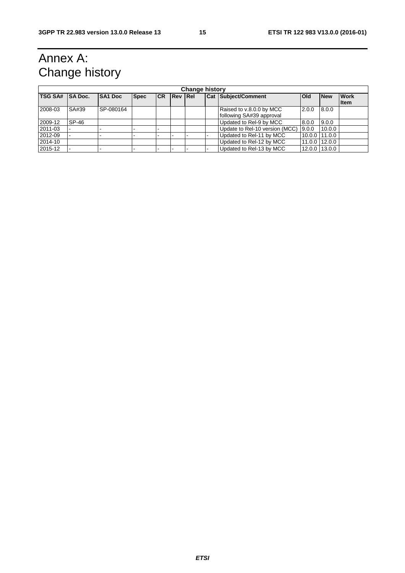# Annex A: Change history

| <b>Change history</b> |                |                          |             |           |                |  |                                                      |       |                |                            |
|-----------------------|----------------|--------------------------|-------------|-----------|----------------|--|------------------------------------------------------|-------|----------------|----------------------------|
| <b>TSG SA#</b>        | <b>SA Doc.</b> | <b>SA1 Doc</b>           | <b>Spec</b> | <b>CR</b> | <b>Rev Rel</b> |  | <b>Cat Subject/Comment</b>                           | Old   | <b>New</b>     | <b>Work</b><br><b>Item</b> |
| 2008-03               | SA#39          | SP-080164                |             |           |                |  | Raised to v.8.0.0 by MCC<br>following SA#39 approval | 2.0.0 | 8.0.0          |                            |
| 2009-12               | SP-46          |                          |             |           |                |  | Updated to Rel-9 by MCC                              | 8.0.0 | 9.0.0          |                            |
| 2011-03               |                |                          |             |           |                |  | Update to Rel-10 version (MCC)                       | 9.0.0 | 10.0.0         |                            |
| 2012-09               |                |                          |             |           |                |  | Updated to Rel-11 by MCC                             |       | 10.0.0 111.0.0 |                            |
| 2014-10               |                |                          |             |           |                |  | Updated to Rel-12 by MCC                             |       | 11.0.0 112.0.0 |                            |
| 2015-12               |                | $\overline{\phantom{0}}$ |             |           |                |  | Updated to Rel-13 by MCC                             |       | 12.0.0 13.0.0  |                            |